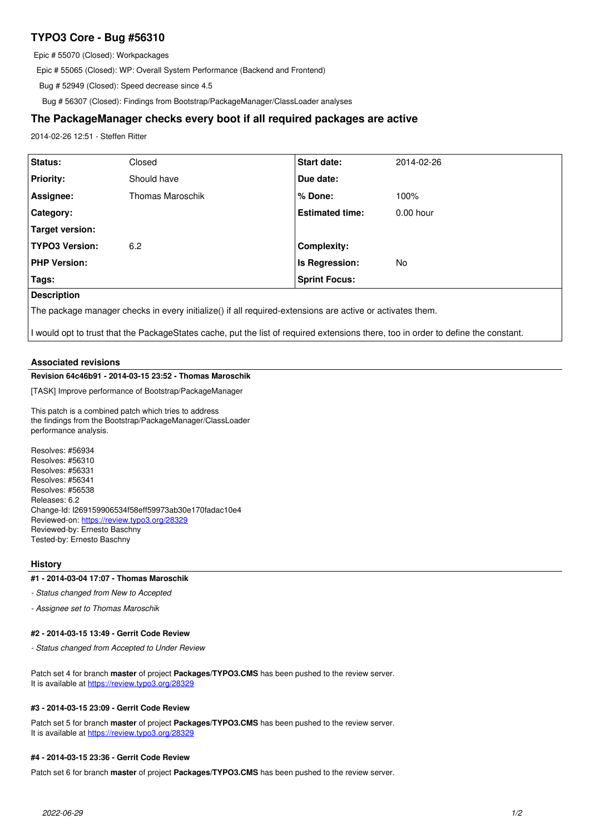# **TYPO3 Core - Bug #56310**

Epic # 55070 (Closed): Workpackages

Epic # 55065 (Closed): WP: Overall System Performance (Backend and Frontend)

Bug # 52949 (Closed): Speed decrease since 4.5

Bug # 56307 (Closed): Findings from Bootstrap/PackageManager/ClassLoader analyses

# **The PackageManager checks every boot if all required packages are active**

2014-02-26 12:51 - Steffen Ritter

| Status:                | Closed                  | Start date:            | 2014-02-26  |
|------------------------|-------------------------|------------------------|-------------|
| <b>Priority:</b>       | Should have             | Due date:              |             |
| Assignee:              | <b>Thomas Maroschik</b> | % Done:                | 100%        |
| <b>Category:</b>       |                         | <b>Estimated time:</b> | $0.00$ hour |
| <b>Target version:</b> |                         |                        |             |
| <b>TYPO3 Version:</b>  | 6.2                     | <b>Complexity:</b>     |             |
| <b>PHP Version:</b>    |                         | Is Regression:         | <b>No</b>   |
| Tags:                  |                         | <b>Sprint Focus:</b>   |             |
| <b>Description</b>     |                         |                        |             |

**Description**

The package manager checks in every initialize() if all required-extensions are active or activates them.

I would opt to trust that the PackageStates cache, put the list of required extensions there, too in order to define the constant.

### **Associated revisions**

#### **Revision 64c46b91 - 2014-03-15 23:52 - Thomas Maroschik**

[TASK] Improve performance of Bootstrap/PackageManager

This patch is a combined patch which tries to address the findings from the Bootstrap/PackageManager/ClassLoader performance analysis.

Resolves: #56934 Resolves: #56310 Resolves: #56331 Resolves: #56341 Resolves: #56538 Releases: 6.2 Change-Id: I269159906534f58eff59973ab30e170fadac10e4 Reviewed-on:<https://review.typo3.org/28329> Reviewed-by: Ernesto Baschny Tested-by: Ernesto Baschny

#### **History**

### **#1 - 2014-03-04 17:07 - Thomas Maroschik**

*- Status changed from New to Accepted*

*- Assignee set to Thomas Maroschik*

#### **#2 - 2014-03-15 13:49 - Gerrit Code Review**

*- Status changed from Accepted to Under Review*

Patch set 4 for branch **master** of project **Packages/TYPO3.CMS** has been pushed to the review server. It is available at <https://review.typo3.org/28329>

### **#3 - 2014-03-15 23:09 - Gerrit Code Review**

Patch set 5 for branch **master** of project **Packages/TYPO3.CMS** has been pushed to the review server. It is available at <https://review.typo3.org/28329>

### **#4 - 2014-03-15 23:36 - Gerrit Code Review**

Patch set 6 for branch **master** of project **Packages/TYPO3.CMS** has been pushed to the review server.